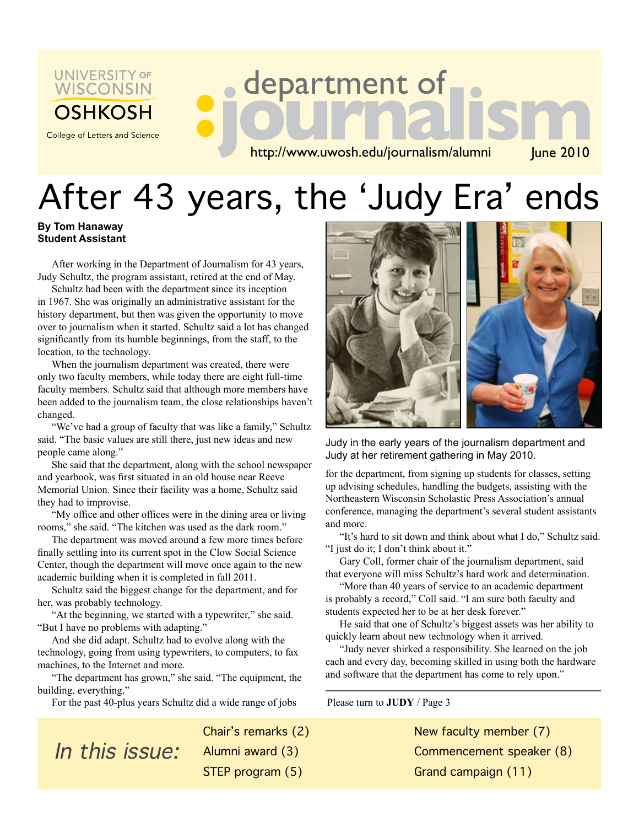

College of Letters and Science

# **department of<br>
http://www.uwosh.edu/journalism/alumni** [une 2010

http://www.uwosh.edu/journalism/alumni

# After 43 years, the 'Judy Era' ends

### **By Tom Hanaway Student Assistant**

After working in the Department of Journalism for 43 years, Judy Schultz, the program assistant, retired at the end of May.

**:**

Schultz had been with the department since its inception in 1967. She was originally an administrative assistant for the history department, but then was given the opportunity to move over to journalism when it started. Schultz said a lot has changed significantly from its humble beginnings, from the staff, to the location, to the technology.

When the journalism department was created, there were only two faculty members, while today there are eight full-time faculty members. Schultz said that although more members have been added to the journalism team, the close relationships haven't changed.

"We've had a group of faculty that was like a family," Schultz said. "The basic values are still there, just new ideas and new people came along."

She said that the department, along with the school newspaper and yearbook, was first situated in an old house near Reeve Memorial Union. Since their facility was a home, Schultz said they had to improvise.

"My office and other offices were in the dining area or living rooms," she said. "The kitchen was used as the dark room."

The department was moved around a few more times before finally settling into its current spot in the Clow Social Science Center, though the department will move once again to the new academic building when it is completed in fall 2011.

Schultz said the biggest change for the department, and for her, was probably technology.

"At the beginning, we started with a typewriter," she said. "But I have no problems with adapting."

And she did adapt. Schultz had to evolve along with the technology, going from using typewriters, to computers, to fax machines, to the Internet and more.

"The department has grown," she said. "The equipment, the building, everything."

For the past 40-plus years Schultz did a wide range of jobs



Judy in the early years of the journalism department and Judy at her retirement gathering in May 2010.

for the department, from signing up students for classes, setting up advising schedules, handling the budgets, assisting with the Northeastern Wisconsin Scholastic Press Association's annual conference, managing the department's several student assistants and more.

"It's hard to sit down and think about what I do," Schultz said. "I just do it; I don't think about it."

Gary Coll, former chair of the journalism department, said that everyone will miss Schultz's hard work and determination.

"More than 40 years of service to an academic department is probably a record," Coll said. "I am sure both faculty and students expected her to be at her desk forever."

He said that one of Schultz's biggest assets was her ability to quickly learn about new technology when it arrived.

"Judy never shirked a responsibility. She learned on the job each and every day, becoming skilled in using both the hardware and software that the department has come to rely upon."

Please turn to **JUDY** / Page 3

New faculty member (7) Commencement speaker (8) Grand campaign (11)

In this issue:

Chair's remarks (2) Alumni award (3) STEP program (5)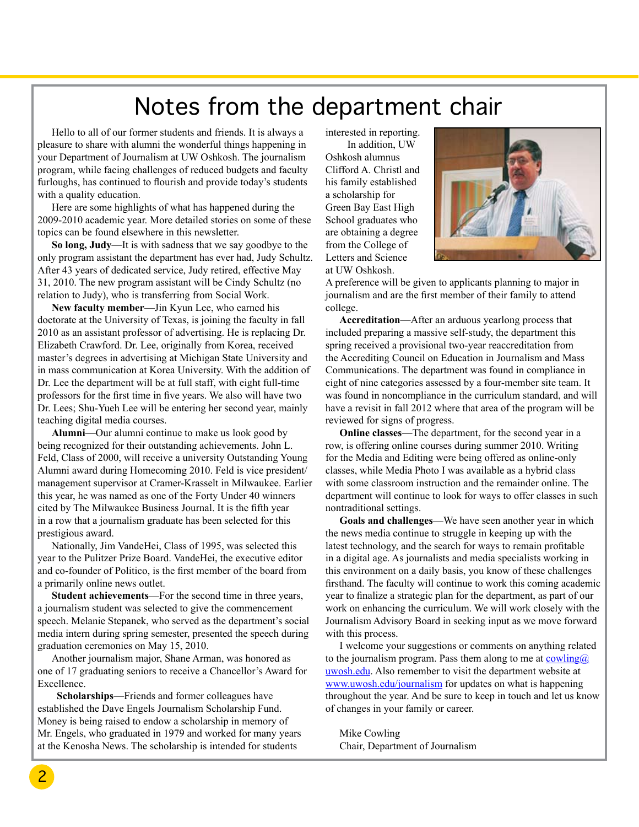## Notes from the department chair

Hello to all of our former students and friends. It is always a pleasure to share with alumni the wonderful things happening in your Department of Journalism at UW Oshkosh. The journalism program, while facing challenges of reduced budgets and faculty furloughs, has continued to flourish and provide today's students with a quality education.

Here are some highlights of what has happened during the 2009-2010 academic year. More detailed stories on some of these topics can be found elsewhere in this newsletter.

**So long, Judy**—It is with sadness that we say goodbye to the only program assistant the department has ever had, Judy Schultz. After 43 years of dedicated service, Judy retired, effective May 31, 2010. The new program assistant will be Cindy Schultz (no relation to Judy), who is transferring from Social Work.

**New faculty member**—Jin Kyun Lee, who earned his doctorate at the University of Texas, is joining the faculty in fall 2010 as an assistant professor of advertising. He is replacing Dr. Elizabeth Crawford. Dr. Lee, originally from Korea, received master's degrees in advertising at Michigan State University and in mass communication at Korea University. With the addition of Dr. Lee the department will be at full staff, with eight full-time professors for the first time in five years. We also will have two Dr. Lees; Shu-Yueh Lee will be entering her second year, mainly teaching digital media courses.

**Alumni**—Our alumni continue to make us look good by being recognized for their outstanding achievements. John L. Feld, Class of 2000, will receive a university Outstanding Young Alumni award during Homecoming 2010. Feld is vice president/ management supervisor at Cramer-Krasselt in Milwaukee. Earlier this year, he was named as one of the Forty Under 40 winners cited by The Milwaukee Business Journal. It is the fifth year in a row that a journalism graduate has been selected for this prestigious award.

Nationally, Jim VandeHei, Class of 1995, was selected this year to the Pulitzer Prize Board. VandeHei, the executive editor and co-founder of Politico, is the first member of the board from a primarily online news outlet.

**Student achievements**—For the second time in three years, a journalism student was selected to give the commencement speech. Melanie Stepanek, who served as the department's social media intern during spring semester, presented the speech during graduation ceremonies on May 15, 2010.

Another journalism major, Shane Arman, was honored as one of 17 graduating seniors to receive a Chancellor's Award for Excellence.

 **Scholarships**—Friends and former colleagues have established the Dave Engels Journalism Scholarship Fund. Money is being raised to endow a scholarship in memory of Mr. Engels, who graduated in 1979 and worked for many years at the Kenosha News. The scholarship is intended for students

interested in reporting. In addition, UW

Oshkosh alumnus Clifford A. Christl and his family established a scholarship for Green Bay East High School graduates who are obtaining a degree from the College of Letters and Science at UW Oshkosh.



A preference will be given to applicants planning to major in journalism and are the first member of their family to attend college.

**Accreditation**—After an arduous yearlong process that included preparing a massive self-study, the department this spring received a provisional two-year reaccreditation from the Accrediting Council on Education in Journalism and Mass Communications. The department was found in compliance in eight of nine categories assessed by a four-member site team. It was found in noncompliance in the curriculum standard, and will have a revisit in fall 2012 where that area of the program will be reviewed for signs of progress.

**Online classes**—The department, for the second year in a row, is offering online courses during summer 2010. Writing for the Media and Editing were being offered as online-only classes, while Media Photo I was available as a hybrid class with some classroom instruction and the remainder online. The department will continue to look for ways to offer classes in such nontraditional settings.

**Goals and challenges**—We have seen another year in which the news media continue to struggle in keeping up with the latest technology, and the search for ways to remain profitable in a digital age. As journalists and media specialists working in this environment on a daily basis, you know of these challenges firsthand. The faculty will continue to work this coming academic year to finalize a strategic plan for the department, as part of our work on enhancing the curriculum. We will work closely with the Journalism Advisory Board in seeking input as we move forward with this process.

I welcome your suggestions or comments on anything related to the journalism program. Pass them along to me at  $\overline{c}$  cowling  $\overline{a}$ uwosh.edu. Also remember to visit the department website at www.uwosh.edu/journalism for updates on what is happening throughout the year. And be sure to keep in touch and let us know of changes in your family or career.

Mike Cowling Chair, Department of Journalism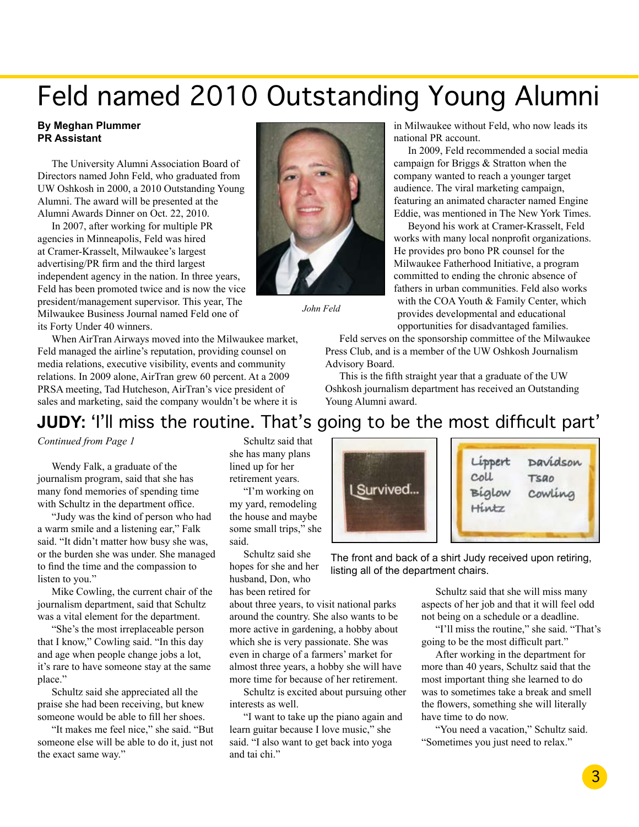## Feld named 2010 Outstanding Young Alumni

#### **By Meghan Plummer PR Assistant**

The University Alumni Association Board of Directors named John Feld, who graduated from UW Oshkosh in 2000, a 2010 Outstanding Young Alumni. The award will be presented at the Alumni Awards Dinner on Oct. 22, 2010.

In 2007, after working for multiple PR agencies in Minneapolis, Feld was hired at Cramer-Krasselt, Milwaukee's largest advertising/PR firm and the third largest independent agency in the nation. In three years, Feld has been promoted twice and is now the vice president/management supervisor. This year, The Milwaukee Business Journal named Feld one of its Forty Under 40 winners.

When AirTran Airways moved into the Milwaukee market, Feld managed the airline's reputation, providing counsel on media relations, executive visibility, events and community relations. In 2009 alone, AirTran grew 60 percent. At a 2009 PRSA meeting, Tad Hutcheson, AirTran's vice president of sales and marketing, said the company wouldn't be where it is



*John Feld*

in Milwaukee without Feld, who now leads its national PR account.

In 2009, Feld recommended a social media campaign for Briggs & Stratton when the company wanted to reach a younger target audience. The viral marketing campaign, featuring an animated character named Engine Eddie, was mentioned in The New York Times.

Beyond his work at Cramer-Krasselt, Feld works with many local nonprofit organizations. He provides pro bono PR counsel for the Milwaukee Fatherhood Initiative, a program committed to ending the chronic absence of fathers in urban communities. Feld also works with the COA Youth & Family Center, which provides developmental and educational opportunities for disadvantaged families.

Feld serves on the sponsorship committee of the Milwaukee Press Club, and is a member of the UW Oshkosh Journalism Advisory Board.

This is the fifth straight year that a graduate of the UW Oshkosh journalism department has received an Outstanding Young Alumni award.

## **JUDY:** 'I'll miss the routine. That's going to be the most difficult part'

*Continued from Page 1* 

Wendy Falk, a graduate of the journalism program, said that she has many fond memories of spending time with Schultz in the department office.

"Judy was the kind of person who had a warm smile and a listening ear," Falk said. "It didn't matter how busy she was, or the burden she was under. She managed to find the time and the compassion to listen to you."

Mike Cowling, the current chair of the journalism department, said that Schultz was a vital element for the department.

"She's the most irreplaceable person that I know," Cowling said. "In this day and age when people change jobs a lot, it's rare to have someone stay at the same place."

Schultz said she appreciated all the praise she had been receiving, but knew someone would be able to fill her shoes.

"It makes me feel nice," she said. "But someone else will be able to do it, just not the exact same way."

Schultz said that she has many plans lined up for her retirement years.

"I'm working on my yard, remodeling the house and maybe some small trips," she said.

Schultz said she hopes for she and her husband, Don, who has been retired for

about three years, to visit national parks around the country. She also wants to be more active in gardening, a hobby about which she is very passionate. She was even in charge of a farmers' market for almost three years, a hobby she will have more time for because of her retirement.

Schultz is excited about pursuing other interests as well.

"I want to take up the piano again and learn guitar because I love music," she said. "I also want to get back into yoga and tai chi."



The front and back of a shirt Judy received upon retiring, listing all of the department chairs.

> Schultz said that she will miss many aspects of her job and that it will feel odd not being on a schedule or a deadline.

"I'll miss the routine," she said. "That's going to be the most difficult part."

After working in the department for more than 40 years, Schultz said that the most important thing she learned to do was to sometimes take a break and smell the flowers, something she will literally have time to do now.

"You need a vacation," Schultz said. "Sometimes you just need to relax."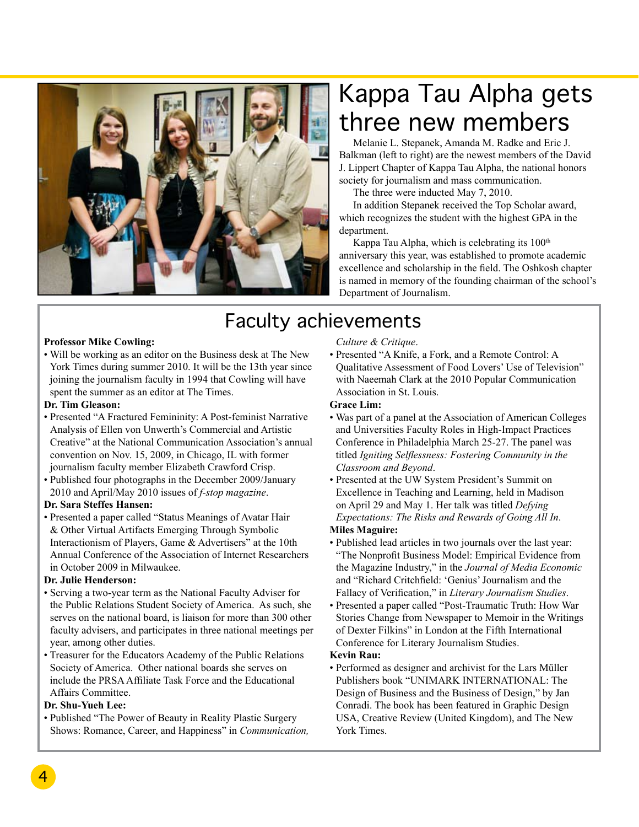

## Kappa Tau Alpha gets three new members

Melanie L. Stepanek, Amanda M. Radke and Eric J. Balkman (left to right) are the newest members of the David J. Lippert Chapter of Kappa Tau Alpha, the national honors society for journalism and mass communication.

The three were inducted May 7, 2010.

In addition Stepanek received the Top Scholar award, which recognizes the student with the highest GPA in the department.

Kappa Tau Alpha, which is celebrating its  $100<sup>th</sup>$ anniversary this year, was established to promote academic excellence and scholarship in the field. The Oshkosh chapter is named in memory of the founding chairman of the school's Department of Journalism.

## Faculty achievements

#### **Professor Mike Cowling:**

• Will be working as an editor on the Business desk at The New York Times during summer 2010. It will be the 13th year since joining the journalism faculty in 1994 that Cowling will have spent the summer as an editor at The Times.

#### **Dr. Tim Gleason:**

- Presented "A Fractured Femininity: A Post-feminist Narrative Analysis of Ellen von Unwerth's Commercial and Artistic Creative" at the National Communication Association's annual convention on Nov. 15, 2009, in Chicago, IL with former journalism faculty member Elizabeth Crawford Crisp.
- Published four photographs in the December 2009/January 2010 and April/May 2010 issues of *f-stop magazine*.

#### **Dr. Sara Steffes Hansen:**

• Presented a paper called "Status Meanings of Avatar Hair & Other Virtual Artifacts Emerging Through Symbolic Interactionism of Players, Game & Advertisers" at the 10th Annual Conference of the Association of Internet Researchers in October 2009 in Milwaukee.

#### **Dr. Julie Henderson:**

- Serving a two-year term as the National Faculty Adviser for the Public Relations Student Society of America. As such, she serves on the national board, is liaison for more than 300 other faculty advisers, and participates in three national meetings per year, among other duties.
- Treasurer for the Educators Academy of the Public Relations Society of America. Other national boards she serves on include the PRSA Affiliate Task Force and the Educational Affairs Committee.

### **Dr. Shu-Yueh Lee:**

• Published "The Power of Beauty in Reality Plastic Surgery Shows: Romance, Career, and Happiness" in *Communication,* 

## *Culture & Critique*.

• Presented "A Knife, a Fork, and a Remote Control: A Qualitative Assessment of Food Lovers' Use of Television" with Naeemah Clark at the 2010 Popular Communication Association in St. Louis.

#### **Grace Lim:**

- Was part of a panel at the Association of American Colleges and Universities Faculty Roles in High-Impact Practices Conference in Philadelphia March 25-27. The panel was titled *Igniting Selflessness: Fostering Community in the Classroom and Beyond*.
- Presented at the UW System President's Summit on Excellence in Teaching and Learning, held in Madison on April 29 and May 1. Her talk was titled *Defying Expectations: The Risks and Rewards of Going All In*.

#### **Miles Maguire:**

- Published lead articles in two journals over the last year: "The Nonprofit Business Model: Empirical Evidence from the Magazine Industry," in the *Journal of Media Economic* and "Richard Critchfield: 'Genius' Journalism and the Fallacy of Verification," in *Literary Journalism Studies*.
- Presented a paper called "Post-Traumatic Truth: How War Stories Change from Newspaper to Memoir in the Writings of Dexter Filkins" in London at the Fifth International Conference for Literary Journalism Studies.

#### **Kevin Rau:**

• Performed as designer and archivist for the Lars Müller Publishers book "UNIMARK INTERNATIONAL: The Design of Business and the Business of Design," by Jan Conradi. The book has been featured in Graphic Design USA, Creative Review (United Kingdom), and The New York Times.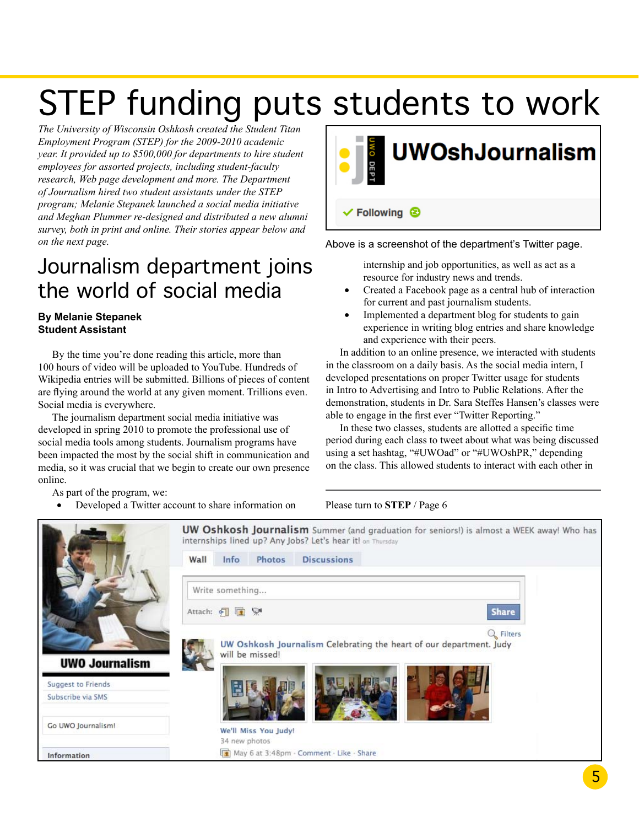# STEP funding puts students to work

*The University of Wisconsin Oshkosh created the Student Titan Employment Program (STEP) for the 2009-2010 academic year. It provided up to \$500,000 for departments to hire student employees for assorted projects, including student-faculty research, Web page development and more. The Department of Journalism hired two student assistants under the STEP program; Melanie Stepanek launched a social media initiative and Meghan Plummer re-designed and distributed a new alumni survey, both in print and online. Their stories appear below and on the next page.*

## Journalism department joins the world of social media

## **By Melanie Stepanek Student Assistant**

By the time you're done reading this article, more than 100 hours of video will be uploaded to YouTube. Hundreds of Wikipedia entries will be submitted. Billions of pieces of content are flying around the world at any given moment. Trillions even. Social media is everywhere.

The journalism department social media initiative was developed in spring 2010 to promote the professional use of social media tools among students. Journalism programs have been impacted the most by the social shift in communication and media, so it was crucial that we begin to create our own presence online.

As part of the program, we:

Developed a Twitter account to share information on



Above is a screenshot of the department's Twitter page.

internship and job opportunities, as well as act as a resource for industry news and trends.

- Created a Facebook page as a central hub of interaction for current and past journalism students.
- Implemented a department blog for students to gain experience in writing blog entries and share knowledge and experience with their peers.

In addition to an online presence, we interacted with students in the classroom on a daily basis. As the social media intern, I developed presentations on proper Twitter usage for students in Intro to Advertising and Intro to Public Relations. After the demonstration, students in Dr. Sara Steffes Hansen's classes were able to engage in the first ever "Twitter Reporting."

In these two classes, students are allotted a specific time period during each class to tweet about what was being discussed using a set hashtag, "#UWOad" or "#UWOshPR," depending on the class. This allowed students to interact with each other in

### Please turn to **STEP** / Page 6

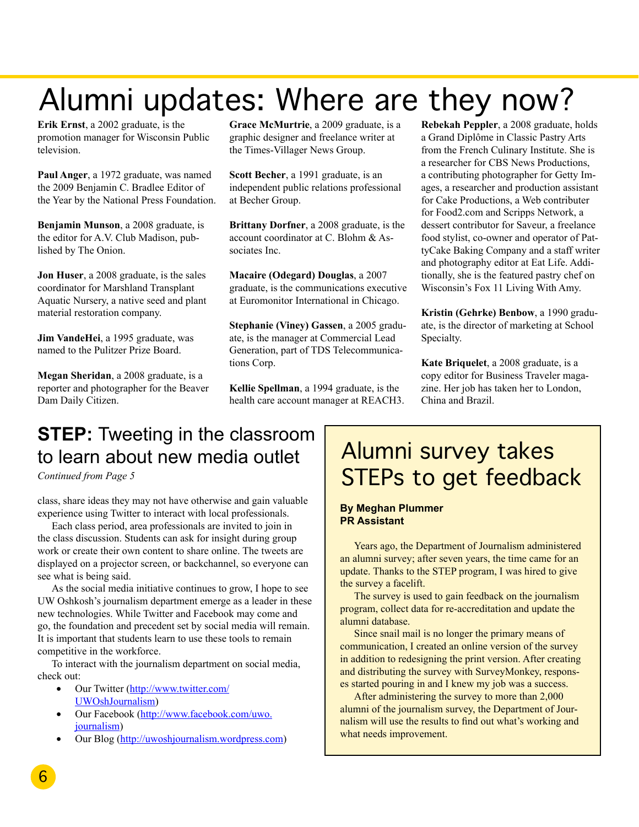## Alumni updates: Where are they now?

**Erik Ernst**, a 2002 graduate, is the promotion manager for Wisconsin Public television.

**Paul Anger**, a 1972 graduate, was named the 2009 Benjamin C. Bradlee Editor of the Year by the National Press Foundation.

**Benjamin Munson**, a 2008 graduate, is the editor for A.V. Club Madison, published by The Onion.

**Jon Huser**, a 2008 graduate, is the sales coordinator for Marshland Transplant Aquatic Nursery, a native seed and plant material restoration company.

**Jim VandeHei**, a 1995 graduate, was named to the Pulitzer Prize Board.

**Megan Sheridan**, a 2008 graduate, is a reporter and photographer for the Beaver Dam Daily Citizen.

**Grace McMurtrie**, a 2009 graduate, is a graphic designer and freelance writer at the Times-Villager News Group.

**Scott Becher**, a 1991 graduate, is an independent public relations professional at Becher Group.

**Brittany Dorfner**, a 2008 graduate, is the account coordinator at C. Blohm & Associates Inc.

**Macaire (Odegard) Douglas**, a 2007 graduate, is the communications executive at Euromonitor International in Chicago.

**Stephanie (Viney) Gassen**, a 2005 graduate, is the manager at Commercial Lead Generation, part of TDS Telecommunications Corp.

**Kellie Spellman**, a 1994 graduate, is the health care account manager at REACH3. **Rebekah Peppler**, a 2008 graduate, holds a Grand Diplôme in Classic Pastry Arts from the French Culinary Institute. She is a researcher for CBS News Productions, a contributing photographer for Getty Images, a researcher and production assistant for Cake Productions, a Web contributer for Food2.com and Scripps Network, a dessert contributor for Saveur, a freelance food stylist, co-owner and operator of PattyCake Baking Company and a staff writer and photography editor at Eat Life. Additionally, she is the featured pastry chef on Wisconsin's Fox 11 Living With Amy.

**Kristin (Gehrke) Benbow**, a 1990 graduate, is the director of marketing at School Specialty.

**Kate Briquelet**, a 2008 graduate, is a copy editor for Business Traveler magazine. Her job has taken her to London, China and Brazil.

## **STEP:** Tweeting in the classroom to learn about new media outlet

*Continued from Page 5* 

class, share ideas they may not have otherwise and gain valuable experience using Twitter to interact with local professionals.

Each class period, area professionals are invited to join in the class discussion. Students can ask for insight during group work or create their own content to share online. The tweets are displayed on a projector screen, or backchannel, so everyone can see what is being said.

As the social media initiative continues to grow, I hope to see UW Oshkosh's journalism department emerge as a leader in these new technologies. While Twitter and Facebook may come and go, the foundation and precedent set by social media will remain. It is important that students learn to use these tools to remain competitive in the workforce.

To interact with the journalism department on social media, check out:

- Our Twitter (http://www.twitter.com/ UWOshJournalism)
- Our Facebook (http://www.facebook.com/uwo. journalism)
- Our Blog (http://uwoshjournalism.wordpress.com)

## Alumni survey takes STEPs to get feedback

#### **By Meghan Plummer PR Assistant**

Years ago, the Department of Journalism administered an alumni survey; after seven years, the time came for an update. Thanks to the STEP program, I was hired to give the survey a facelift.

The survey is used to gain feedback on the journalism program, collect data for re-accreditation and update the alumni database.

Since snail mail is no longer the primary means of communication, I created an online version of the survey in addition to redesigning the print version. After creating and distributing the survey with SurveyMonkey, responses started pouring in and I knew my job was a success.

After administering the survey to more than 2,000 alumni of the journalism survey, the Department of Journalism will use the results to find out what's working and what needs improvement.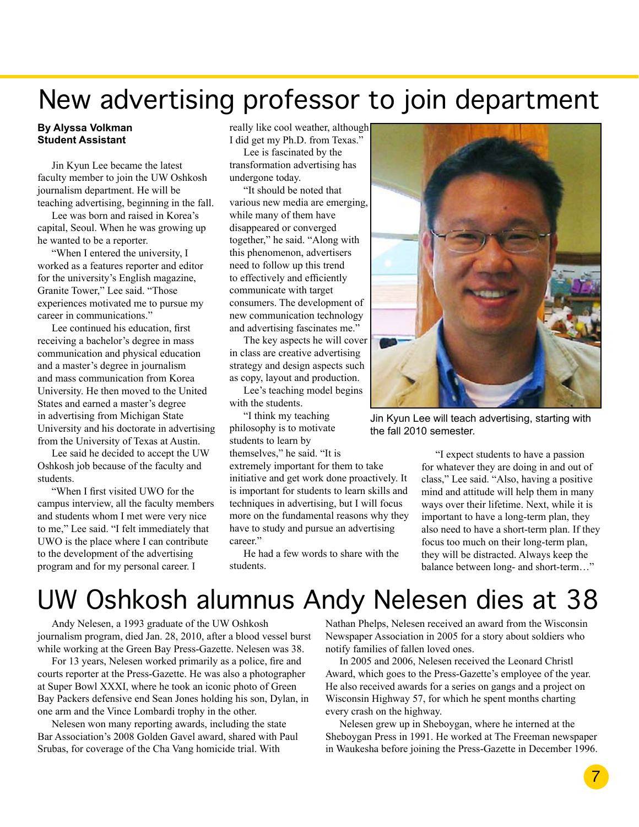## New advertising professor to join department

#### **By Alyssa Volkman Student Assistant**

Jin Kyun Lee became the latest faculty member to join the UW Oshkosh journalism department. He will be teaching advertising, beginning in the fall.

Lee was born and raised in Korea's capital, Seoul. When he was growing up he wanted to be a reporter.

"When I entered the university, I worked as a features reporter and editor for the university's English magazine, Granite Tower," Lee said. "Those experiences motivated me to pursue my career in communications."

Lee continued his education, first receiving a bachelor's degree in mass communication and physical education and a master's degree in journalism and mass communication from Korea University. He then moved to the United States and earned a master's degree in advertising from Michigan State University and his doctorate in advertising from the University of Texas at Austin.

Lee said he decided to accept the UW Oshkosh job because of the faculty and students.

"When I first visited UWO for the campus interview, all the faculty members and students whom I met were very nice to me," Lee said. "I felt immediately that UWO is the place where I can contribute to the development of the advertising program and for my personal career. I

really like cool weather, although I did get my Ph.D. from Texas."

Lee is fascinated by the transformation advertising has undergone today.

"It should be noted that various new media are emerging, while many of them have disappeared or converged together," he said. "Along with this phenomenon, advertisers need to follow up this trend to effectively and efficiently communicate with target consumers. The development of new communication technology and advertising fascinates me."

The key aspects he will cover in class are creative advertising strategy and design aspects such as copy, layout and production.

Lee's teaching model begins with the students.

"I think my teaching philosophy is to motivate students to learn by themselves," he said. "It is

extremely important for them to take initiative and get work done proactively. It is important for students to learn skills and techniques in advertising, but I will focus more on the fundamental reasons why they have to study and pursue an advertising career."

He had a few words to share with the students.



Jin Kyun Lee will teach advertising, starting with the fall 2010 semester.

"I expect students to have a passion for whatever they are doing in and out of class," Lee said. "Also, having a positive mind and attitude will help them in many ways over their lifetime. Next, while it is important to have a long-term plan, they also need to have a short-term plan. If they focus too much on their long-term plan, they will be distracted. Always keep the balance between long- and short-term…"

## UW Oshkosh alumnus Andy Nelesen dies at 38

Andy Nelesen, a 1993 graduate of the UW Oshkosh journalism program, died Jan. 28, 2010, after a blood vessel burst while working at the Green Bay Press-Gazette. Nelesen was 38.

For 13 years, Nelesen worked primarily as a police, fire and courts reporter at the Press-Gazette. He was also a photographer at Super Bowl XXXI, where he took an iconic photo of Green Bay Packers defensive end Sean Jones holding his son, Dylan, in one arm and the Vince Lombardi trophy in the other.

Nelesen won many reporting awards, including the state Bar Association's 2008 Golden Gavel award, shared with Paul Srubas, for coverage of the Cha Vang homicide trial. With

Nathan Phelps, Nelesen received an award from the Wisconsin Newspaper Association in 2005 for a story about soldiers who notify families of fallen loved ones.

In 2005 and 2006, Nelesen received the Leonard Christl Award, which goes to the Press-Gazette's employee of the year. He also received awards for a series on gangs and a project on Wisconsin Highway 57, for which he spent months charting every crash on the highway.

Nelesen grew up in Sheboygan, where he interned at the Sheboygan Press in 1991. He worked at The Freeman newspaper in Waukesha before joining the Press-Gazette in December 1996.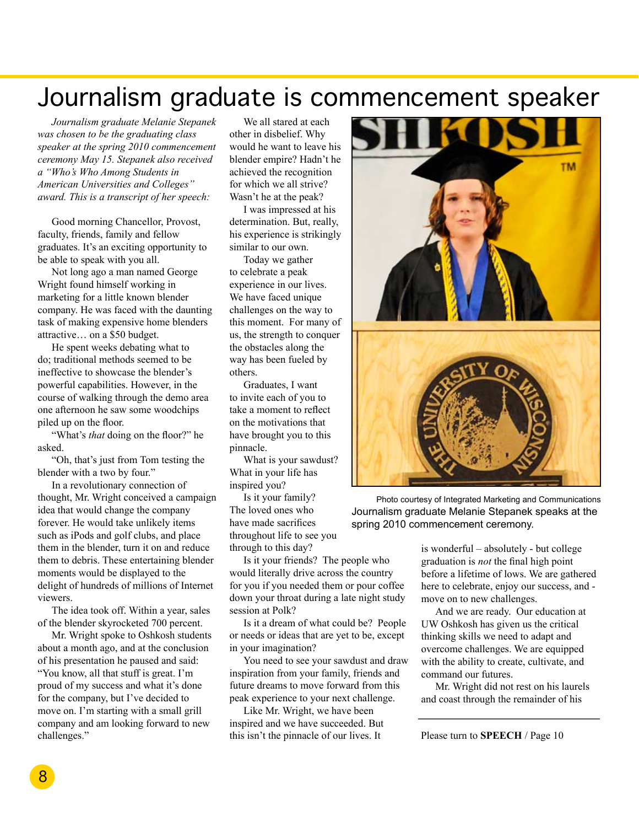## Journalism graduate is commencement speaker

*Journalism graduate Melanie Stepanek was chosen to be the graduating class speaker at the spring 2010 commencement ceremony May 15. Stepanek also received a "Who's Who Among Students in American Universities and Colleges" award. This is a transcript of her speech:*

Good morning Chancellor, Provost, faculty, friends, family and fellow graduates. It's an exciting opportunity to be able to speak with you all.

Not long ago a man named George Wright found himself working in marketing for a little known blender company. He was faced with the daunting task of making expensive home blenders attractive… on a \$50 budget.

He spent weeks debating what to do; traditional methods seemed to be ineffective to showcase the blender's powerful capabilities. However, in the course of walking through the demo area one afternoon he saw some woodchips piled up on the floor.

"What's *that* doing on the floor?" he asked.

"Oh, that's just from Tom testing the blender with a two by four."

In a revolutionary connection of thought, Mr. Wright conceived a campaign idea that would change the company forever. He would take unlikely items such as iPods and golf clubs, and place them in the blender, turn it on and reduce them to debris. These entertaining blender moments would be displayed to the delight of hundreds of millions of Internet viewers.

The idea took off. Within a year, sales of the blender skyrocketed 700 percent.

Mr. Wright spoke to Oshkosh students about a month ago, and at the conclusion of his presentation he paused and said: "You know, all that stuff is great. I'm proud of my success and what it's done for the company, but I've decided to move on. I'm starting with a small grill company and am looking forward to new challenges."

We all stared at each other in disbelief. Why would he want to leave his blender empire? Hadn't he achieved the recognition for which we all strive? Wasn't he at the peak?

I was impressed at his determination. But, really, his experience is strikingly similar to our own.

Today we gather to celebrate a peak experience in our lives. We have faced unique challenges on the way to this moment. For many of us, the strength to conquer the obstacles along the way has been fueled by others.

Graduates, I want to invite each of you to take a moment to reflect on the motivations that have brought you to this pinnacle.

What is your sawdust? What in your life has inspired you?

Is it your family? The loved ones who have made sacrifices throughout life to see you through to this day?

Is it your friends? The people who would literally drive across the country for you if you needed them or pour coffee down your throat during a late night study session at Polk?

Is it a dream of what could be? People or needs or ideas that are yet to be, except in your imagination?

You need to see your sawdust and draw inspiration from your family, friends and future dreams to move forward from this peak experience to your next challenge.

Like Mr. Wright, we have been inspired and we have succeeded. But this isn't the pinnacle of our lives. It



Photo courtesy of Integrated Marketing and Communications Journalism graduate Melanie Stepanek speaks at the spring 2010 commencement ceremony.

> is wonderful – absolutely - but college graduation is *not* the final high point before a lifetime of lows. We are gathered here to celebrate, enjoy our success, and move on to new challenges.

And we are ready. Our education at UW Oshkosh has given us the critical thinking skills we need to adapt and overcome challenges. We are equipped with the ability to create, cultivate, and command our futures.

Mr. Wright did not rest on his laurels and coast through the remainder of his

Please turn to **SPEECH** / Page 10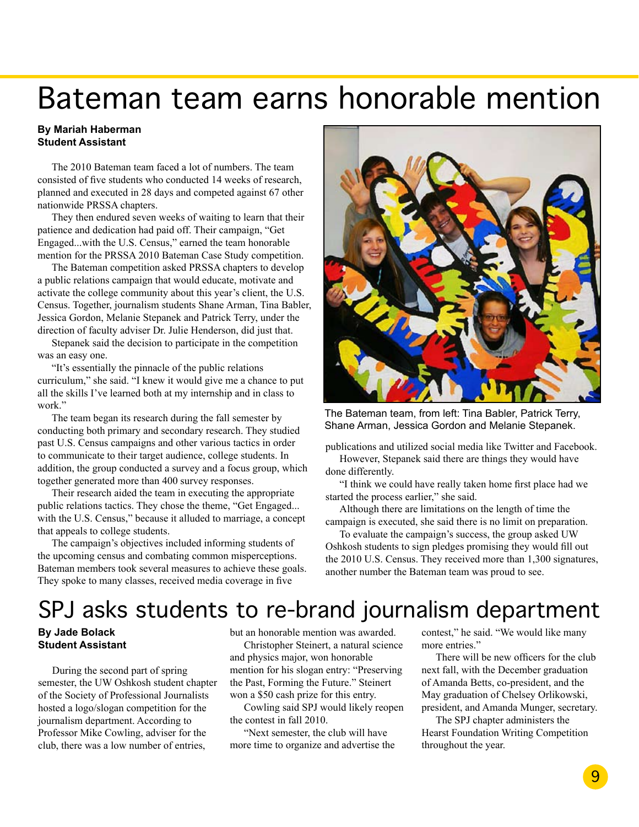## Bateman team earns honorable mention

### **By Mariah Haberman Student Assistant**

The 2010 Bateman team faced a lot of numbers. The team consisted of five students who conducted 14 weeks of research, planned and executed in 28 days and competed against 67 other nationwide PRSSA chapters.

They then endured seven weeks of waiting to learn that their patience and dedication had paid off. Their campaign, "Get Engaged...with the U.S. Census," earned the team honorable mention for the PRSSA 2010 Bateman Case Study competition.

The Bateman competition asked PRSSA chapters to develop a public relations campaign that would educate, motivate and activate the college community about this year's client, the U.S. Census. Together, journalism students Shane Arman, Tina Babler, Jessica Gordon, Melanie Stepanek and Patrick Terry, under the direction of faculty adviser Dr. Julie Henderson, did just that.

Stepanek said the decision to participate in the competition was an easy one.

"It's essentially the pinnacle of the public relations curriculum," she said. "I knew it would give me a chance to put all the skills I've learned both at my internship and in class to work."

The team began its research during the fall semester by conducting both primary and secondary research. They studied past U.S. Census campaigns and other various tactics in order to communicate to their target audience, college students. In addition, the group conducted a survey and a focus group, which together generated more than 400 survey responses.

Their research aided the team in executing the appropriate public relations tactics. They chose the theme, "Get Engaged... with the U.S. Census," because it alluded to marriage, a concept that appeals to college students.

The campaign's objectives included informing students of the upcoming census and combating common misperceptions. Bateman members took several measures to achieve these goals. They spoke to many classes, received media coverage in five



The Bateman team, from left: Tina Babler, Patrick Terry, Shane Arman, Jessica Gordon and Melanie Stepanek.

publications and utilized social media like Twitter and Facebook. However, Stepanek said there are things they would have

done differently.

"I think we could have really taken home first place had we started the process earlier," she said.

Although there are limitations on the length of time the campaign is executed, she said there is no limit on preparation.

To evaluate the campaign's success, the group asked UW Oshkosh students to sign pledges promising they would fill out the 2010 U.S. Census. They received more than 1,300 signatures, another number the Bateman team was proud to see.

## SPJ asks students to re-brand journalism department

## **By Jade Bolack Student Assistant**

During the second part of spring semester, the UW Oshkosh student chapter of the Society of Professional Journalists hosted a logo/slogan competition for the journalism department. According to Professor Mike Cowling, adviser for the club, there was a low number of entries,

but an honorable mention was awarded.

Christopher Steinert, a natural science and physics major, won honorable mention for his slogan entry: "Preserving the Past, Forming the Future." Steinert won a \$50 cash prize for this entry.

Cowling said SPJ would likely reopen the contest in fall 2010.

"Next semester, the club will have more time to organize and advertise the contest," he said. "We would like many more entries."

There will be new officers for the club next fall, with the December graduation of Amanda Betts, co-president, and the May graduation of Chelsey Orlikowski, president, and Amanda Munger, secretary.

The SPJ chapter administers the Hearst Foundation Writing Competition throughout the year.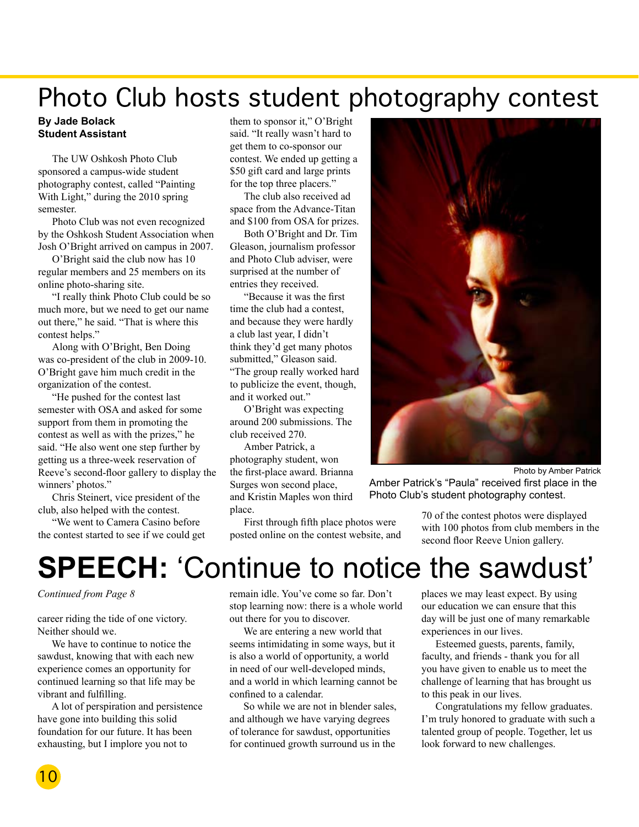## Photo Club hosts student photography contest

#### **By Jade Bolack Student Assistant**

The UW Oshkosh Photo Club sponsored a campus-wide student photography contest, called "Painting With Light," during the 2010 spring semester.

Photo Club was not even recognized by the Oshkosh Student Association when Josh O'Bright arrived on campus in 2007.

O'Bright said the club now has 10 regular members and 25 members on its online photo-sharing site.

"I really think Photo Club could be so much more, but we need to get our name out there," he said. "That is where this contest helps."

Along with O'Bright, Ben Doing was co-president of the club in 2009-10. O'Bright gave him much credit in the organization of the contest.

"He pushed for the contest last semester with OSA and asked for some support from them in promoting the contest as well as with the prizes," he said. "He also went one step further by getting us a three-week reservation of Reeve's second-floor gallery to display the winners' photos."

Chris Steinert, vice president of the club, also helped with the contest.

"We went to Camera Casino before the contest started to see if we could get them to sponsor it," O'Bright said. "It really wasn't hard to get them to co-sponsor our contest. We ended up getting a \$50 gift card and large prints for the top three placers."

The club also received ad space from the Advance-Titan and \$100 from OSA for prizes.

Both O'Bright and Dr. Tim Gleason, journalism professor and Photo Club adviser, were surprised at the number of entries they received.

"Because it was the first time the club had a contest, and because they were hardly a club last year, I didn't think they'd get many photos submitted," Gleason said. "The group really worked hard to publicize the event, though, and it worked out."

O'Bright was expecting around 200 submissions. The club received 270.

Amber Patrick, a photography student, won the first-place award. Brianna Surges won second place, and Kristin Maples won third place.

First through fifth place photos were posted online on the contest website, and



Photo by Amber Patrick Amber Patrick's "Paula" received first place in the Photo Club's student photography contest.

> 70 of the contest photos were displayed with 100 photos from club members in the second floor Reeve Union gallery.

## **SPEECH:** 'Continue to notice the sawdust'

*Continued from Page 8* 

career riding the tide of one victory. Neither should we.

We have to continue to notice the sawdust, knowing that with each new experience comes an opportunity for continued learning so that life may be vibrant and fulfilling.

A lot of perspiration and persistence have gone into building this solid foundation for our future. It has been exhausting, but I implore you not to

remain idle. You've come so far. Don't stop learning now: there is a whole world out there for you to discover.

We are entering a new world that seems intimidating in some ways, but it is also a world of opportunity, a world in need of our well-developed minds, and a world in which learning cannot be confined to a calendar.

So while we are not in blender sales, and although we have varying degrees of tolerance for sawdust, opportunities for continued growth surround us in the

places we may least expect. By using our education we can ensure that this day will be just one of many remarkable experiences in our lives.

Esteemed guests, parents, family, faculty, and friends - thank you for all you have given to enable us to meet the challenge of learning that has brought us to this peak in our lives.

Congratulations my fellow graduates. I'm truly honored to graduate with such a talented group of people. Together, let us look forward to new challenges.

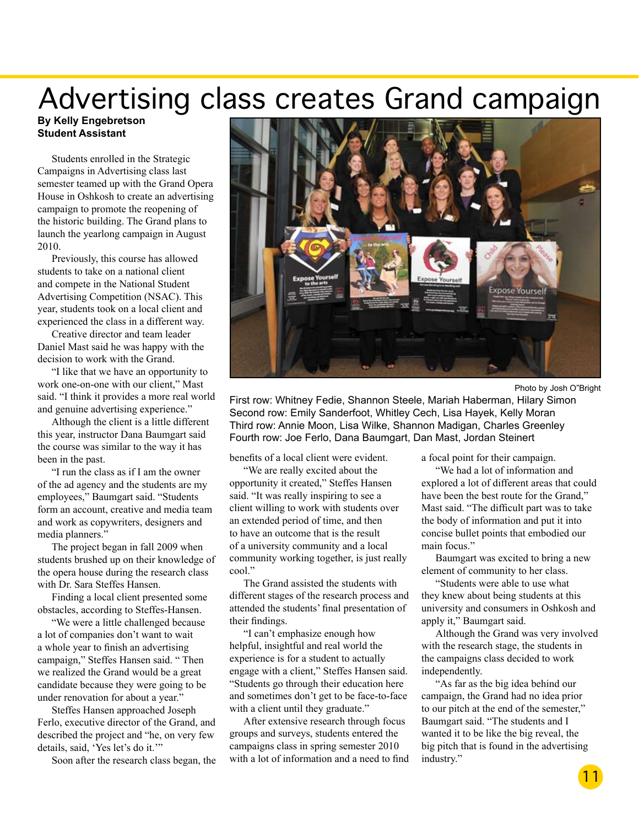## Advertising class creates Grand campaign

#### **By Kelly Engebretson Student Assistant**

Students enrolled in the Strategic Campaigns in Advertising class last semester teamed up with the Grand Opera House in Oshkosh to create an advertising campaign to promote the reopening of the historic building. The Grand plans to launch the yearlong campaign in August 2010.

Previously, this course has allowed students to take on a national client and compete in the National Student Advertising Competition (NSAC). This year, students took on a local client and experienced the class in a different way.

Creative director and team leader Daniel Mast said he was happy with the decision to work with the Grand.

"I like that we have an opportunity to work one-on-one with our client," Mast said. "I think it provides a more real world and genuine advertising experience."

Although the client is a little different this year, instructor Dana Baumgart said the course was similar to the way it has been in the past.

"I run the class as if I am the owner of the ad agency and the students are my employees," Baumgart said. "Students form an account, creative and media team and work as copywriters, designers and media planners."

The project began in fall 2009 when students brushed up on their knowledge of the opera house during the research class with Dr. Sara Steffes Hansen.

Finding a local client presented some obstacles, according to Steffes-Hansen.

"We were a little challenged because a lot of companies don't want to wait a whole year to finish an advertising campaign," Steffes Hansen said. " Then we realized the Grand would be a great candidate because they were going to be under renovation for about a year."

Steffes Hansen approached Joseph Ferlo, executive director of the Grand, and described the project and "he, on very few details, said, 'Yes let's do it.'"

Soon after the research class began, the



Photo by Josh O"Bright

First row: Whitney Fedie, Shannon Steele, Mariah Haberman, Hilary Simon Second row: Emily Sanderfoot, Whitley Cech, Lisa Hayek, Kelly Moran Third row: Annie Moon, Lisa Wilke, Shannon Madigan, Charles Greenley Fourth row: Joe Ferlo, Dana Baumgart, Dan Mast, Jordan Steinert

benefits of a local client were evident.

"We are really excited about the opportunity it created," Steffes Hansen said. "It was really inspiring to see a client willing to work with students over an extended period of time, and then to have an outcome that is the result of a university community and a local community working together, is just really cool."

The Grand assisted the students with different stages of the research process and attended the students' final presentation of their findings.

"I can't emphasize enough how helpful, insightful and real world the experience is for a student to actually engage with a client," Steffes Hansen said. "Students go through their education here and sometimes don't get to be face-to-face with a client until they graduate."

After extensive research through focus groups and surveys, students entered the campaigns class in spring semester 2010 with a lot of information and a need to find a focal point for their campaign.

"We had a lot of information and explored a lot of different areas that could have been the best route for the Grand," Mast said. "The difficult part was to take the body of information and put it into concise bullet points that embodied our main focus."

Baumgart was excited to bring a new element of community to her class.

"Students were able to use what they knew about being students at this university and consumers in Oshkosh and apply it," Baumgart said.

Although the Grand was very involved with the research stage, the students in the campaigns class decided to work independently.

"As far as the big idea behind our campaign, the Grand had no idea prior to our pitch at the end of the semester," Baumgart said. "The students and I wanted it to be like the big reveal, the big pitch that is found in the advertising industry."